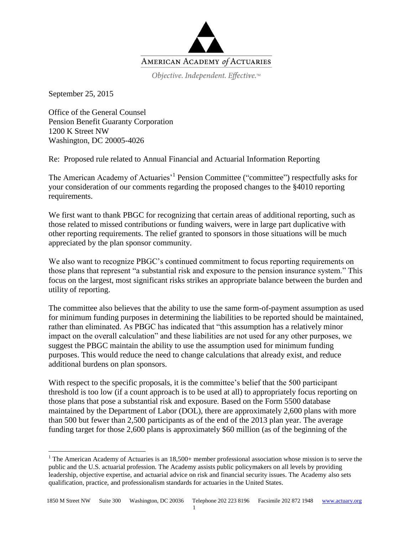

Objective. Independent. Effective.™

September 25, 2015

 $\overline{a}$ 

Office of the General Counsel Pension Benefit Guaranty Corporation 1200 K Street NW Washington, DC 20005-4026

Re: Proposed rule related to Annual Financial and Actuarial Information Reporting

The American Academy of Actuaries<sup>, 1</sup> Pension Committee ("committee") respectfully asks for your consideration of our comments regarding the proposed changes to the §4010 reporting requirements.

We first want to thank PBGC for recognizing that certain areas of additional reporting, such as those related to missed contributions or funding waivers, were in large part duplicative with other reporting requirements. The relief granted to sponsors in those situations will be much appreciated by the plan sponsor community.

We also want to recognize PBGC's continued commitment to focus reporting requirements on those plans that represent "a substantial risk and exposure to the pension insurance system." This focus on the largest, most significant risks strikes an appropriate balance between the burden and utility of reporting.

The committee also believes that the ability to use the same form-of-payment assumption as used for minimum funding purposes in determining the liabilities to be reported should be maintained, rather than eliminated. As PBGC has indicated that "this assumption has a relatively minor impact on the overall calculation" and these liabilities are not used for any other purposes, we suggest the PBGC maintain the ability to use the assumption used for minimum funding purposes. This would reduce the need to change calculations that already exist, and reduce additional burdens on plan sponsors.

With respect to the specific proposals, it is the committee's belief that the 500 participant threshold is too low (if a count approach is to be used at all) to appropriately focus reporting on those plans that pose a substantial risk and exposure. Based on the Form 5500 database maintained by the Department of Labor (DOL), there are approximately 2,600 plans with more than 500 but fewer than 2,500 participants as of the end of the 2013 plan year. The average funding target for those 2,600 plans is approximately \$60 million (as of the beginning of the

<sup>&</sup>lt;sup>1</sup> The American Academy of Actuaries is an  $18,500+$  member professional association whose mission is to serve the public and the U.S. actuarial profession. The Academy assists public policymakers on all levels by providing leadership, objective expertise, and actuarial advice on risk and financial security issues. The Academy also sets qualification, practice, and professionalism standards for actuaries in the United States.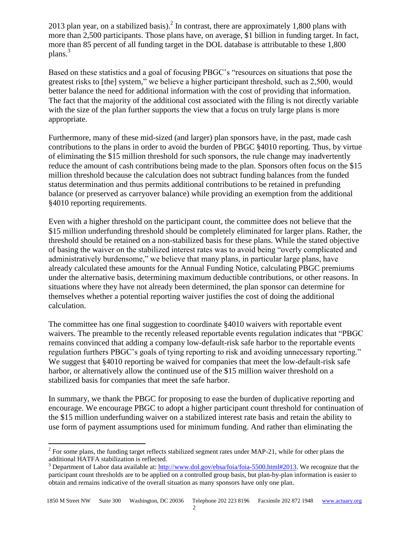2013 plan year, on a stabilized basis).<sup>2</sup> In contrast, there are approximately 1,800 plans with more than 2,500 participants. Those plans have, on average, \$1 billion in funding target. In fact, more than 85 percent of all funding target in the DOL database is attributable to these 1,800 plans.<sup>3</sup>

Based on these statistics and a goal of focusing PBGC's "resources on situations that pose the greatest risks to [the] system," we believe a higher participant threshold, such as 2,500, would better balance the need for additional information with the cost of providing that information. The fact that the majority of the additional cost associated with the filing is not directly variable with the size of the plan further supports the view that a focus on truly large plans is more appropriate.

Furthermore, many of these mid-sized (and larger) plan sponsors have, in the past, made cash contributions to the plans in order to avoid the burden of PBGC §4010 reporting. Thus, by virtue of eliminating the \$15 million threshold for such sponsors, the rule change may inadvertently reduce the amount of cash contributions being made to the plan. Sponsors often focus on the \$15 million threshold because the calculation does not subtract funding balances from the funded status determination and thus permits additional contributions to be retained in prefunding balance (or preserved as carryover balance) while providing an exemption from the additional §4010 reporting requirements.

Even with a higher threshold on the participant count, the committee does not believe that the \$15 million underfunding threshold should be completely eliminated for larger plans. Rather, the threshold should be retained on a non-stabilized basis for these plans. While the stated objective of basing the waiver on the stabilized interest rates was to avoid being "overly complicated and administratively burdensome," we believe that many plans, in particular large plans, have already calculated these amounts for the Annual Funding Notice, calculating PBGC premiums under the alternative basis, determining maximum deductible contributions, or other reasons. In situations where they have not already been determined, the plan sponsor can determine for themselves whether a potential reporting waiver justifies the cost of doing the additional calculation.

The committee has one final suggestion to coordinate §4010 waivers with reportable event waivers. The preamble to the recently released reportable events regulation indicates that "PBGC remains convinced that adding a company low-default-risk safe harbor to the reportable events regulation furthers PBGC's goals of tying reporting to risk and avoiding unnecessary reporting." We suggest that \$4010 reporting be waived for companies that meet the low-default-risk safe harbor, or alternatively allow the continued use of the \$15 million waiver threshold on a stabilized basis for companies that meet the safe harbor.

In summary, we thank the PBGC for proposing to ease the burden of duplicative reporting and encourage. We encourage PBGC to adopt a higher participant count threshold for continuation of the \$15 million underfunding waiver on a stabilized interest rate basis and retain the ability to use form of payment assumptions used for minimum funding. And rather than eliminating the

<sup>&</sup>lt;sup>2</sup> For some plans, the funding target reflects stabilized segment rates under MAP-21, while for other plans the additional HATFA stabilization is reflected.

<sup>&</sup>lt;sup>3</sup> Department of Labor data available at: [http://www.dol.gov/ebsa/foia/foia-5500.html#2013.](http://www.dol.gov/ebsa/foia/foia-5500.html#2013) We recognize that the participant count thresholds are to be applied on a controlled group basis, but plan-by-plan information is easier to obtain and remains indicative of the overall situation as many sponsors have only one plan.